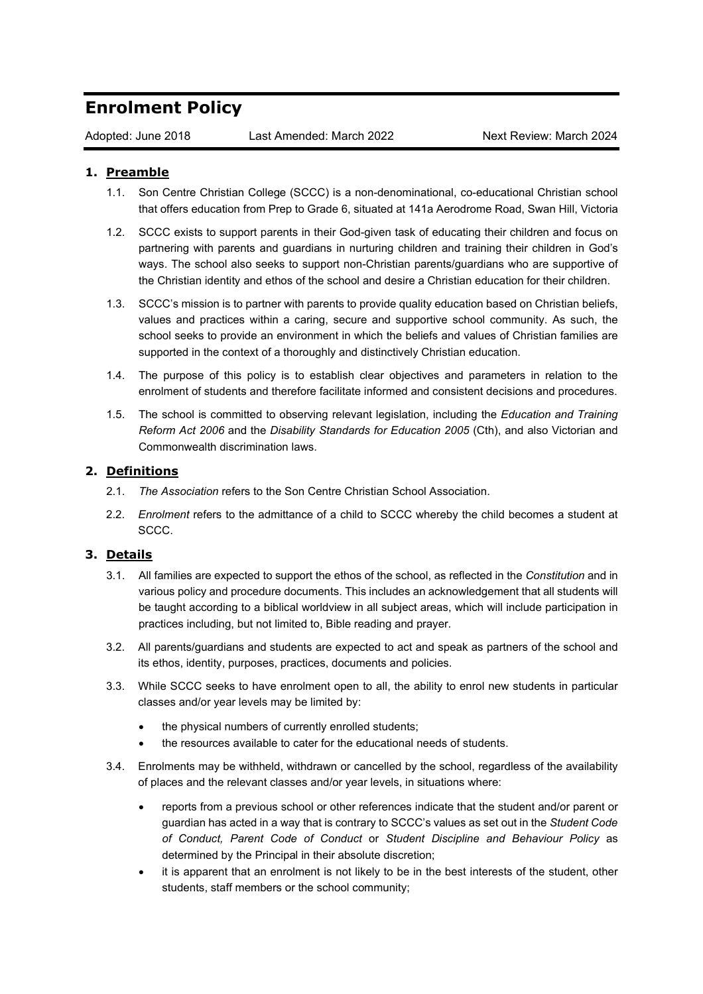## **Enrolment Policy**

Adopted: June 2018 Last Amended: March 2022 Next Review: March 2024

## **1. Preamble**

- 1.1. Son Centre Christian College (SCCC) is a non-denominational, co-educational Christian school that offers education from Prep to Grade 6, situated at 141a Aerodrome Road, Swan Hill, Victoria
- 1.2. SCCC exists to support parents in their God-given task of educating their children and focus on partnering with parents and guardians in nurturing children and training their children in God's ways. The school also seeks to support non-Christian parents/guardians who are supportive of the Christian identity and ethos of the school and desire a Christian education for their children.
- 1.3. SCCC's mission is to partner with parents to provide quality education based on Christian beliefs, values and practices within a caring, secure and supportive school community. As such, the school seeks to provide an environment in which the beliefs and values of Christian families are supported in the context of a thoroughly and distinctively Christian education.
- 1.4. The purpose of this policy is to establish clear objectives and parameters in relation to the enrolment of students and therefore facilitate informed and consistent decisions and procedures.
- 1.5. The school is committed to observing relevant legislation, including the *Education and Training Reform Act 2006* and the *Disability Standards for Education 2005* (Cth), and also Victorian and Commonwealth discrimination laws.

## **2. Definitions**

- 2.1. *The Association* refers to the Son Centre Christian School Association.
- 2.2. *Enrolment* refers to the admittance of a child to SCCC whereby the child becomes a student at SCCC.

## **3. Details**

- 3.1. All families are expected to support the ethos of the school, as reflected in the *Constitution* and in various policy and procedure documents. This includes an acknowledgement that all students will be taught according to a biblical worldview in all subject areas, which will include participation in practices including, but not limited to, Bible reading and prayer.
- 3.2. All parents/guardians and students are expected to act and speak as partners of the school and its ethos, identity, purposes, practices, documents and policies.
- 3.3. While SCCC seeks to have enrolment open to all, the ability to enrol new students in particular classes and/or year levels may be limited by:
	- the physical numbers of currently enrolled students;
	- the resources available to cater for the educational needs of students.
- 3.4. Enrolments may be withheld, withdrawn or cancelled by the school, regardless of the availability of places and the relevant classes and/or year levels, in situations where:
	- reports from a previous school or other references indicate that the student and/or parent or guardian has acted in a way that is contrary to SCCC's values as set out in the *Student Code of Conduct, Parent Code of Conduct* or *Student Discipline and Behaviour Policy* as determined by the Principal in their absolute discretion;
	- it is apparent that an enrolment is not likely to be in the best interests of the student, other students, staff members or the school community;